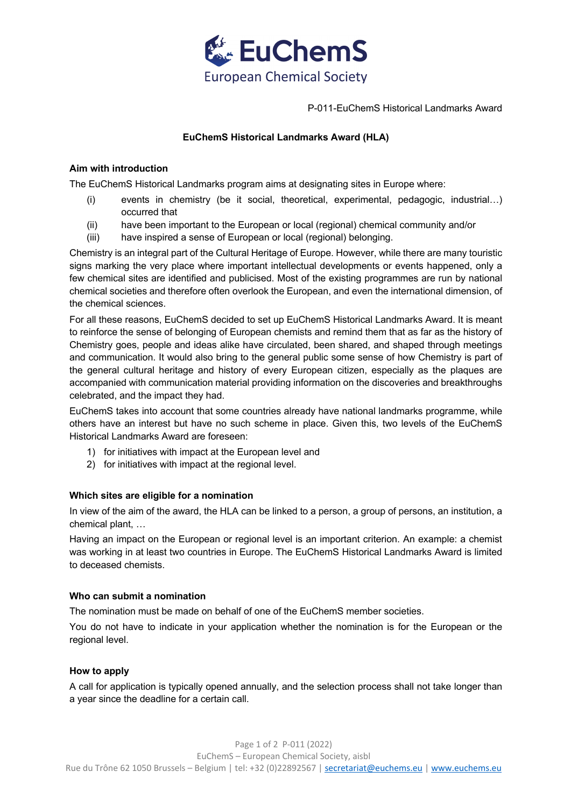

P-011-EuChemS Historical Landmarks Award

# **EuChemS Historical Landmarks Award (HLA)**

## **Aim with introduction**

The EuChemS Historical Landmarks program aims at designating sites in Europe where:

- (i) events in chemistry (be it social, theoretical, experimental, pedagogic, industrial…) occurred that
- (ii) have been important to the European or local (regional) chemical community and/or
- (iii) have inspired a sense of European or local (regional) belonging.

Chemistry is an integral part of the Cultural Heritage of Europe. However, while there are many touristic signs marking the very place where important intellectual developments or events happened, only a few chemical sites are identified and publicised. Most of the existing programmes are run by national chemical societies and therefore often overlook the European, and even the international dimension, of the chemical sciences.

For all these reasons, EuChemS decided to set up EuChemS Historical Landmarks Award. It is meant to reinforce the sense of belonging of European chemists and remind them that as far as the history of Chemistry goes, people and ideas alike have circulated, been shared, and shaped through meetings and communication. It would also bring to the general public some sense of how Chemistry is part of the general cultural heritage and history of every European citizen, especially as the plaques are accompanied with communication material providing information on the discoveries and breakthroughs celebrated, and the impact they had.

EuChemS takes into account that some countries already have national landmarks programme, while others have an interest but have no such scheme in place. Given this, two levels of the EuChemS Historical Landmarks Award are foreseen:

- 1) for initiatives with impact at the European level and
- 2) for initiatives with impact at the regional level.

# **Which sites are eligible for a nomination**

In view of the aim of the award, the HLA can be linked to a person, a group of persons, an institution, a chemical plant, …

Having an impact on the European or regional level is an important criterion. An example: a chemist was working in at least two countries in Europe. The EuChemS Historical Landmarks Award is limited to deceased chemists.

# **Who can submit a nomination**

The nomination must be made on behalf of one of the EuChemS member societies.

You do not have to indicate in your application whether the nomination is for the European or the regional level.

# **How to apply**

A call for application is typically opened annually, and the selection process shall not take longer than a year since the deadline for a certain call.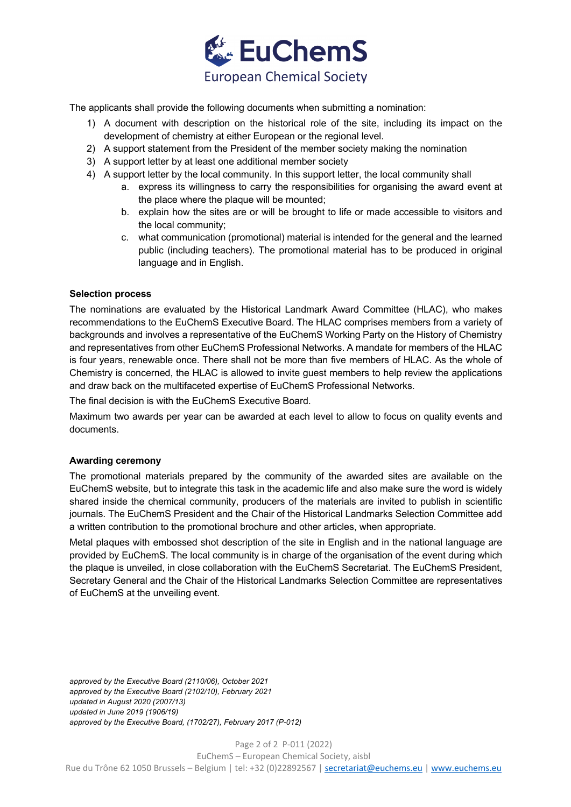

The applicants shall provide the following documents when submitting a nomination:

- 1) A document with description on the historical role of the site, including its impact on the development of chemistry at either European or the regional level.
- 2) A support statement from the President of the member society making the nomination
- 3) A support letter by at least one additional member society
- 4) A support letter by the local community. In this support letter, the local community shall
	- a. express its willingness to carry the responsibilities for organising the award event at the place where the plaque will be mounted;
	- b. explain how the sites are or will be brought to life or made accessible to visitors and the local community;
	- c. what communication (promotional) material is intended for the general and the learned public (including teachers). The promotional material has to be produced in original language and in English.

### **Selection process**

The nominations are evaluated by the Historical Landmark Award Committee (HLAC), who makes recommendations to the EuChemS Executive Board. The HLAC comprises members from a variety of backgrounds and involves a representative of the EuChemS Working Party on the History of Chemistry and representatives from other EuChemS Professional Networks. A mandate for members of the HLAC is four years, renewable once. There shall not be more than five members of HLAC. As the whole of Chemistry is concerned, the HLAC is allowed to invite guest members to help review the applications and draw back on the multifaceted expertise of EuChemS Professional Networks.

The final decision is with the EuChemS Executive Board.

Maximum two awards per year can be awarded at each level to allow to focus on quality events and documents.

# **Awarding ceremony**

The promotional materials prepared by the community of the awarded sites are available on the EuChemS website, but to integrate this task in the academic life and also make sure the word is widely shared inside the chemical community, producers of the materials are invited to publish in scientific journals. The EuChemS President and the Chair of the Historical Landmarks Selection Committee add a written contribution to the promotional brochure and other articles, when appropriate.

Metal plaques with embossed shot description of the site in English and in the national language are provided by EuChemS. The local community is in charge of the organisation of the event during which the plaque is unveiled, in close collaboration with the EuChemS Secretariat. The EuChemS President, Secretary General and the Chair of the Historical Landmarks Selection Committee are representatives of EuChemS at the unveiling event.

*approved by the Executive Board (2110/06), October 2021 approved by the Executive Board (2102/10), February 2021 updated in August 2020 (2007/13) updated in June 2019 (1906/19) approved by the Executive Board, (1702/27), February 2017 (P-012)*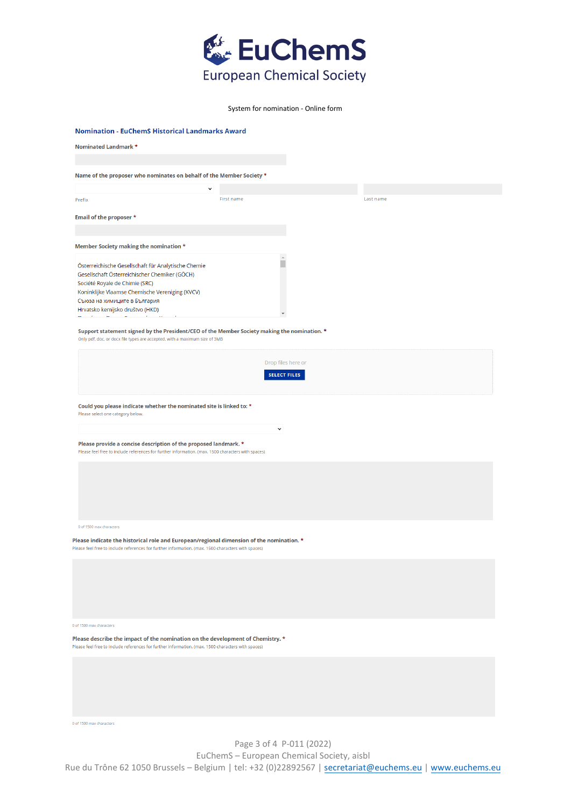

### System for nomination - Online form

| <b>Nomination - EuChemS Historical Landmarks Award</b>                                                                                                                                                                                                       |                                           |           |
|--------------------------------------------------------------------------------------------------------------------------------------------------------------------------------------------------------------------------------------------------------------|-------------------------------------------|-----------|
| Nominated Landmark *                                                                                                                                                                                                                                         |                                           |           |
|                                                                                                                                                                                                                                                              |                                           |           |
| Name of the proposer who nominates on behalf of the Member Society *                                                                                                                                                                                         |                                           |           |
| $\checkmark$                                                                                                                                                                                                                                                 |                                           |           |
| Prefix                                                                                                                                                                                                                                                       | First name                                | Last name |
| Email of the proposer *                                                                                                                                                                                                                                      |                                           |           |
| Member Society making the nomination *                                                                                                                                                                                                                       |                                           |           |
| Österreichische Gesellschaft für Analytische Chemie<br>Gesellschaft Österreichischer Chemiker (GÖCH)<br>Société Royale de Chimie (SRC)<br>Koninklijke Vlaamse Chemische Vereniging (KVCV)<br>Съюза на химиците в България<br>Hrvatsko kemijsko društvo (HKD) |                                           |           |
| Support statement signed by the President/CEO of the Member Society making the nomination. *<br>Only pdf, doc, or docx file types are accepted, with a maximum size of 3MB                                                                                   |                                           |           |
|                                                                                                                                                                                                                                                              | Drop files here or<br><b>SELECT FILES</b> |           |
| Could you please indicate whether the nominated site is linked to: *<br>Please select one category below.                                                                                                                                                    | $\check{ }$                               |           |
| Please provide a concise description of the proposed landmark. *<br>Please feel free to include references for further information. (max. 1500 characters with spaces)                                                                                       |                                           |           |
|                                                                                                                                                                                                                                                              |                                           |           |
| 0 of 1500 max characters<br>Please indicate the historical role and European/regional dimension of the nomination. *<br>Please feel free to include references for further information. (max. 1500 characters with spaces)                                   |                                           |           |
|                                                                                                                                                                                                                                                              |                                           |           |
| of 1500 max characters                                                                                                                                                                                                                                       |                                           |           |
| Please describe the impact of the nomination on the development of Chemistry. *<br>Please feel free to include references for further information. (max. 1500 characters with spaces)                                                                        |                                           |           |
|                                                                                                                                                                                                                                                              |                                           |           |
| of 1500 max characters                                                                                                                                                                                                                                       |                                           |           |

Page 3 of 4 P-011 (2022) EuChemS – European Chemical Society, aisbl Rue du Trône 62 1050 Brussels - Belgium | tel: +32 (0)22892567 | [secretariat@euchems.eu](mailto:secretariat@euchems.eu) | [www.euchems.eu](http://www.euchems.eu/)